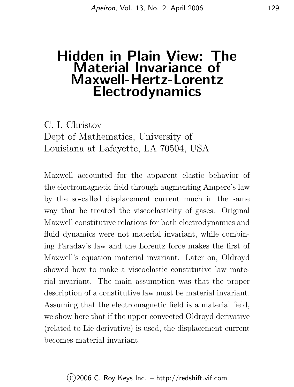# Hidden in Plain View: The Material Invariance of Maxwell-Hertz-Lorentz Electrodynamics

C. I. Christov Dept of Mathematics, University of Louisiana at Lafayette, LA 70504, USA

Maxwell accounted for the apparent elastic behavior of the electromagnetic field through augmenting Ampere's law by the so-called displacement current much in the same way that he treated the viscoelasticity of gases. Original Maxwell constitutive relations for both electrodynamics and fluid dynamics were not material invariant, while combining Faraday's law and the Lorentz force makes the first of Maxwell's equation material invariant. Later on, Oldroyd showed how to make a viscoelastic constitutive law material invariant. The main assumption was that the proper description of a constitutive law must be material invariant. Assuming that the electromagnetic field is a material field, we show here that if the upper convected Oldroyd derivative (related to Lie derivative) is used, the displacement current becomes material invariant.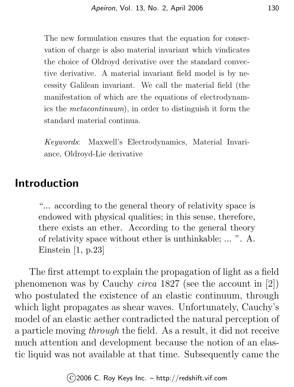The new formulation ensures that the equation for conservation of charge is also material invariant which vindicates the choice of Oldroyd derivative over the standard convective derivative. A material invariant field model is by necessity Galilean invariant. We call the material field (the manifestation of which are the equations of electrodynamics the metacontinuum), in order to distinguish it form the standard material continua.

Keywords: Maxwell's Electrodynamics, Material Invariance, Oldroyd-Lie derivative

### Introduction

"... according to the general theory of relativity space is endowed with physical qualities; in this sense, therefore, there exists an ether. According to the general theory of relativity space without ether is unthinkable; ... ". A. Einstein [1, p.23]

The first attempt to explain the propagation of light as a field phenomenon was by Cauchy circa 1827 (see the account in [2]) who postulated the existence of an elastic continuum, through which light propagates as shear waves. Unfortunately, Cauchy's model of an elastic aether contradicted the natural perception of a particle moving through the field. As a result, it did not receive much attention and development because the notion of an elastic liquid was not available at that time. Subsequently came the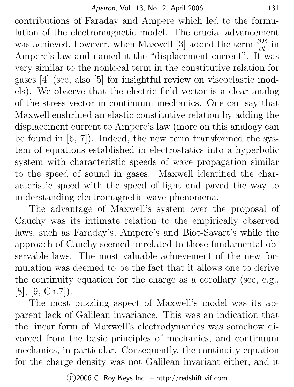contributions of Faraday and Ampere which led to the formulation of the electromagnetic model. The crucial advancement was achieved, however, when Maxwell [3] added the term  $\frac{\partial E}{\partial t}$  in Ampere's law and named it the "displacement current". It was very similar to the nonlocal term in the constitutive relation for gases [4] (see, also [5] for insightful review on viscoelastic models). We observe that the electric field vector is a clear analog of the stress vector in continuum mechanics. One can say that Maxwell enshrined an elastic constitutive relation by adding the displacement current to Ampere's law (more on this analogy can be found in [6, 7]). Indeed, the new term transformed the system of equations established in electrostatics into a hyperbolic system with characteristic speeds of wave propagation similar to the speed of sound in gases. Maxwell identified the characteristic speed with the speed of light and paved the way to understanding electromagnetic wave phenomena.

The advantage of Maxwell's system over the proposal of Cauchy was its intimate relation to the empirically observed laws, such as Faraday's, Ampere's and Biot-Savart's while the approach of Cauchy seemed unrelated to those fundamental observable laws. The most valuable achievement of the new formulation was deemed to be the fact that it allows one to derive the continuity equation for the charge as a corollary (see, e.g., [8], [9, Ch.7]).

The most puzzling aspect of Maxwell's model was its apparent lack of Galilean invariance. This was an indication that the linear form of Maxwell's electrodynamics was somehow divorced from the basic principles of mechanics, and continuum mechanics, in particular. Consequently, the continuity equation for the charge density was not Galilean invariant either, and it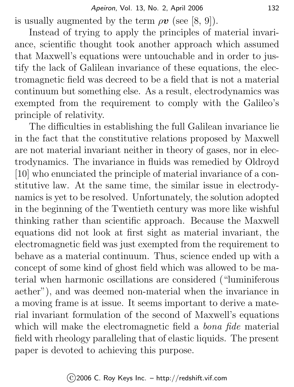is usually augmented by the term  $\rho \mathbf{v}$  (see [8, 9]).

Instead of trying to apply the principles of material invariance, scientific thought took another approach which assumed that Maxwell's equations were untouchable and in order to justify the lack of Galilean invariance of these equations, the electromagnetic field was decreed to be a field that is not a material continuum but something else. As a result, electrodynamics was exempted from the requirement to comply with the Galileo's principle of relativity.

The difficulties in establishing the full Galilean invariance lie in the fact that the constitutive relations proposed by Maxwell are not material invariant neither in theory of gases, nor in electrodynamics. The invariance in fluids was remedied by Oldroyd [10] who enunciated the principle of material invariance of a constitutive law. At the same time, the similar issue in electrodynamics is yet to be resolved. Unfortunately, the solution adopted in the beginning of the Twentieth century was more like wishful thinking rather than scientific approach. Because the Maxwell equations did not look at first sight as material invariant, the electromagnetic field was just exempted from the requirement to behave as a material continuum. Thus, science ended up with a concept of some kind of ghost field which was allowed to be material when harmonic oscillations are considered ("luminiferous aether"), and was deemed non-material when the invariance in a moving frame is at issue. It seems important to derive a material invariant formulation of the second of Maxwell's equations which will make the electromagnetic field a *bona fide* material field with rheology paralleling that of elastic liquids. The present paper is devoted to achieving this purpose.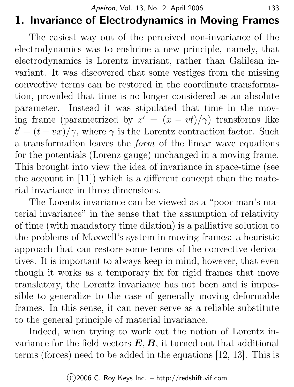# 1. Invariance of Electrodynamics in Moving Frames

The easiest way out of the perceived non-invariance of the electrodynamics was to enshrine a new principle, namely, that electrodynamics is Lorentz invariant, rather than Galilean invariant. It was discovered that some vestiges from the missing convective terms can be restored in the coordinate transformation, provided that time is no longer considered as an absolute parameter. Instead it was stipulated that time in the moving frame (parametrized by  $x' = (x - vt)/\gamma$ ) transforms like  $t' = (t - vx)/\gamma$ , where  $\gamma$  is the Lorentz contraction factor. Such a transformation leaves the form of the linear wave equations for the potentials (Lorenz gauge) unchanged in a moving frame. This brought into view the idea of invariance in space-time (see the account in [11]) which is a different concept than the material invariance in three dimensions.

The Lorentz invariance can be viewed as a "poor man's material invariance" in the sense that the assumption of relativity of time (with mandatory time dilation) is a palliative solution to the problems of Maxwell's system in moving frames: a heuristic approach that can restore some terms of the convective derivatives. It is important to always keep in mind, however, that even though it works as a temporary fix for rigid frames that move translatory, the Lorentz invariance has not been and is impossible to generalize to the case of generally moving deformable frames. In this sense, it can never serve as a reliable substitute to the general principle of material invariance.

Indeed, when trying to work out the notion of Lorentz invariance for the field vectors  $E, B$ , it turned out that additional terms (forces) need to be added in the equations [12, 13]. This is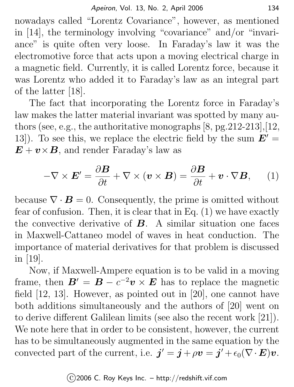nowadays called "Lorentz Covariance", however, as mentioned in [14], the terminology involving "covariance" and/or "invariance" is quite often very loose. In Faraday's law it was the electromotive force that acts upon a moving electrical charge in a magnetic field. Currently, it is called Lorentz force, because it was Lorentz who added it to Faraday's law as an integral part of the latter [18].

The fact that incorporating the Lorentz force in Faraday's law makes the latter material invariant was spotted by many authors (see, e.g., the authoritative monographs [8, pg.212-213],[12, 13]). To see this, we replace the electric field by the sum  $E' =$  $\mathbf{E} + \mathbf{v} \times \mathbf{B}$ , and render Faraday's law as

$$
-\nabla \times \boldsymbol{E}' = \frac{\partial \boldsymbol{B}}{\partial t} + \nabla \times (\boldsymbol{v} \times \boldsymbol{B}) = \frac{\partial \boldsymbol{B}}{\partial t} + \boldsymbol{v} \cdot \nabla \boldsymbol{B}, \qquad (1)
$$

because  $\nabla \cdot \mathbf{B} = 0$ . Consequently, the prime is omitted without fear of confusion. Then, it is clear that in Eq. (1) we have exactly the convective derivative of  $\bf{B}$ . A similar situation one faces in Maxwell-Cattaneo model of waves in heat conduction. The importance of material derivatives for that problem is discussed in [19].

Now, if Maxwell-Ampere equation is to be valid in a moving frame, then  $B' = B - c^{-2}v \times E$  has to replace the magnetic field [12, 13]. However, as pointed out in [20], one cannot have both additions simultaneously and the authors of [20] went on to derive different Galilean limits (see also the recent work [21]). We note here that in order to be consistent, however, the current has to be simultaneously augmented in the same equation by the convected part of the current, i.e.  $\mathbf{j}' = \mathbf{j} + \rho \mathbf{v} = \mathbf{j}' + \epsilon_0 (\nabla \cdot \mathbf{E}) \mathbf{v}$ .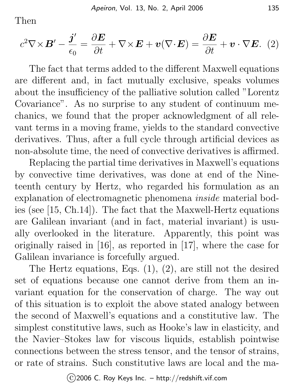Then

$$
c^2 \nabla \times \boldsymbol{B}' - \frac{\boldsymbol{j}'}{\epsilon_0} = \frac{\partial \boldsymbol{E}}{\partial t} + \nabla \times \boldsymbol{E} + \boldsymbol{v}(\nabla \cdot \boldsymbol{E}) = \frac{\partial \boldsymbol{E}}{\partial t} + \boldsymbol{v} \cdot \nabla \boldsymbol{E}. \tag{2}
$$

The fact that terms added to the different Maxwell equations are different and, in fact mutually exclusive, speaks volumes about the insufficiency of the palliative solution called "Lorentz Covariance". As no surprise to any student of continuum mechanics, we found that the proper acknowledgment of all relevant terms in a moving frame, yields to the standard convective derivatives. Thus, after a full cycle through artificial devices as non-absolute time, the need of convective derivatives is affirmed.

Replacing the partial time derivatives in Maxwell's equations by convective time derivatives, was done at end of the Nineteenth century by Hertz, who regarded his formulation as an explanation of electromagnetic phenomena inside material bodies (see [15, Ch.14]). The fact that the Maxwell-Hertz equations are Galilean invariant (and in fact, material invariant) is usually overlooked in the literature. Apparently, this point was originally raised in [16], as reported in [17], where the case for Galilean invariance is forcefully argued.

The Hertz equations, Eqs. (1), (2), are still not the desired set of equations because one cannot derive from them an invariant equation for the conservation of charge. The way out of this situation is to exploit the above stated analogy between the second of Maxwell's equations and a constitutive law. The simplest constitutive laws, such as Hooke's law in elasticity, and the Navier–Stokes law for viscous liquids, establish pointwise connections between the stress tensor, and the tensor of strains, or rate of strains. Such constitutive laws are local and the ma-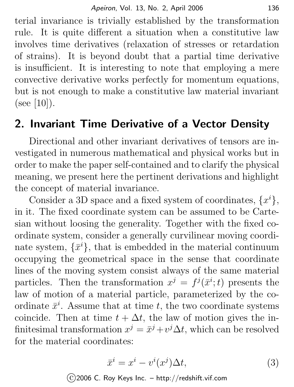terial invariance is trivially established by the transformation rule. It is quite different a situation when a constitutive law involves time derivatives (relaxation of stresses or retardation of strains). It is beyond doubt that a partial time derivative is insufficient. It is interesting to note that employing a mere convective derivative works perfectly for momentum equations, but is not enough to make a constitutive law material invariant  $(see [10]).$ 

### 2. Invariant Time Derivative of a Vector Density

Directional and other invariant derivatives of tensors are investigated in numerous mathematical and physical works but in order to make the paper self-contained and to clarify the physical meaning, we present here the pertinent derivations and highlight the concept of material invariance.

Consider a 3D space and a fixed system of coordinates,  $\{x^i\}$ , in it. The fixed coordinate system can be assumed to be Cartesian without loosing the generality. Together with the fixed coordinate system, consider a generally curvilinear moving coordinate system,  $\{\bar{x}^i\}$ , that is embedded in the material continuum occupying the geometrical space in the sense that coordinate lines of the moving system consist always of the same material particles. Then the transformation  $x^j = f^j(\bar{x}^i; t)$  presents the law of motion of a material particle, parameterized by the coordinate  $\bar{x}^i$ . Assume that at time t, the two coordinate systems coincide. Then at time  $t + \Delta t$ , the law of motion gives the infinitesimal transformation  $x^j = \bar{x}^j + v^j \Delta t$ , which can be resolved for the material coordinates:

$$
\bar{x}^i = x^i - v^i(x^j) \Delta t,\tag{3}
$$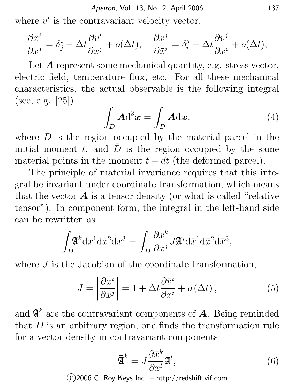where  $v^i$  is the contravariant velocity vector.

$$
\frac{\partial \bar{x}^i}{\partial x^j} = \delta^i_j - \Delta t \frac{\partial v^i}{\partial x^j} + o(\Delta t), \quad \frac{\partial x^j}{\partial \bar{x}^i} = \delta^j_i + \Delta t \frac{\partial v^j}{\partial x^i} + o(\Delta t),
$$

Let  $\boldsymbol{A}$  represent some mechanical quantity, e.g. stress vector, electric field, temperature flux, etc. For all these mechanical characteristics, the actual observable is the following integral (see, e.g. [25])

$$
\int_D \mathbf{A} \mathrm{d}^3 \boldsymbol{x} = \int_{\bar{D}} \mathbf{A} \mathrm{d}\bar{\boldsymbol{x}},\tag{4}
$$

where  $D$  is the region occupied by the material parcel in the initial moment t, and  $\overline{D}$  is the region occupied by the same material points in the moment  $t + dt$  (the deformed parcel).

The principle of material invariance requires that this integral be invariant under coordinate transformation, which means that the vector  $\boldsymbol{A}$  is a tensor density (or what is called "relative" tensor"). In component form, the integral in the left-hand side can be rewritten as

$$
\int_D \mathfrak{A}^k \mathrm{d}x^1 \mathrm{d}x^2 \mathrm{d}x^3 \equiv \int_{\bar{D}} \frac{\partial \bar{x}^k}{\partial x^j} J \mathfrak{A}^j \mathrm{d} \bar{x}^1 \mathrm{d} \bar{x}^2 \mathrm{d} \bar{x}^3,
$$

where  $J$  is the Jacobian of the coordinate transformation,

$$
J = \left| \frac{\partial x^{i}}{\partial \bar{x}^{j}} \right| = 1 + \Delta t \frac{\partial \bar{v}^{i}}{\partial x^{i}} + o(\Delta t), \qquad (5)
$$

and  $\mathfrak{A}^k$  are the contravariant components of  $A$ . Being reminded that  $D$  is an arbitrary region, one finds the transformation rule for a vector density in contravariant components

$$
\bar{\mathfrak{A}}^k = J \frac{\partial \bar{x}^k}{\partial x^l} \mathfrak{A}^l,\tag{6}
$$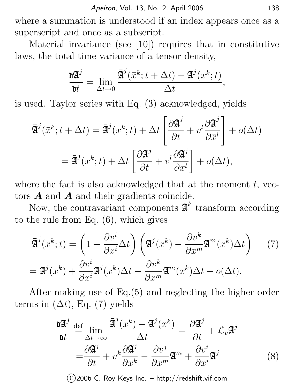where a summation is understood if an index appears once as a superscript and once as a subscript.

Material invariance (see [10]) requires that in constitutive laws, the total time variance of a tensor density,

$$
\frac{\mathrm{d} \mathfrak{A}^j}{\mathrm{d} t} = \lim_{\Delta t \to 0} \frac{\bar{\mathfrak{A}}^j(\bar{x}^k; t + \Delta t) - \mathfrak{A}^j(x^k; t)}{\Delta t},
$$

is used. Taylor series with Eq. (3) acknowledged, yields

$$
\overline{\mathfrak{A}}^{j}(\overline{x}^{k}; t + \Delta t) = \overline{\mathfrak{A}}^{j}(x^{k}; t) + \Delta t \left[ \frac{\partial \overline{\mathfrak{A}}^{j}}{\partial t} + v^{l} \frac{\partial \overline{\mathfrak{A}}^{j}}{\partial \overline{x}^{l}} \right] + o(\Delta t)
$$
\n
$$
= \overline{\mathfrak{A}}^{j}(x^{k}; t) + \Delta t \left[ \frac{\partial \mathfrak{A}^{j}}{\partial t} + v^{l} \frac{\partial \mathfrak{A}^{j}}{\partial x^{l}} \right] + o(\Delta t),
$$

where the fact is also acknowledged that at the moment  $t$ , vectors  $\vec{A}$  and  $\vec{A}$  and their gradients coincide.

Now, the contravariant components  $\mathfrak{A}^k$  transform according to the rule from Eq. (6), which gives

$$
\overline{\mathfrak{A}}^{j}(x^{k};t) = \left(1 + \frac{\partial v^{i}}{\partial x^{i}} \Delta t\right) \left(\mathfrak{A}^{j}(x^{k}) - \frac{\partial v^{k}}{\partial x^{m}} \mathfrak{A}^{m}(x^{k}) \Delta t\right) \tag{7}
$$
\n
$$
= \mathfrak{A}^{j}(x^{k}) + \frac{\partial v^{i}}{\partial x^{i}} \mathfrak{A}^{j}(x^{k}) \Delta t - \frac{\partial v^{k}}{\partial x^{m}} \mathfrak{A}^{m}(x^{k}) \Delta t + o(\Delta t).
$$

After making use of Eq.(5) and neglecting the higher order terms in  $(\Delta t)$ , Eq. (7) yields

$$
\frac{\partial \mathbf{\mathbf{A}}^j}{\partial t} \stackrel{\text{def}}{=} \lim_{\Delta t \to \infty} \frac{\overline{\mathbf{\mathbf{A}}}^j(x^k) - \mathbf{\mathbf{A}}^j(x^k)}{\Delta t} = \frac{\partial \mathbf{\mathbf{A}}^j}{\partial t} + \mathcal{L}_v \mathbf{\mathbf{A}}^j
$$
\n
$$
= \frac{\partial \mathbf{\mathbf{A}}^j}{\partial t} + v^k \frac{\partial \mathbf{\mathbf{A}}^j}{\partial x^k} - \frac{\partial v^j}{\partial x^m} \mathbf{\mathbf{A}}^m + \frac{\partial v^i}{\partial x^i} \mathbf{\mathbf{A}}^j \tag{8}
$$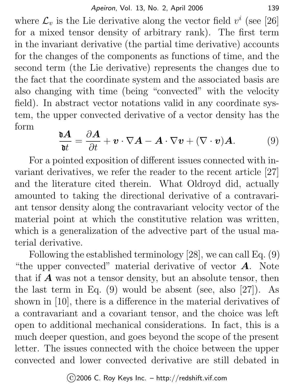where  $\mathcal{L}_v$  is the Lie derivative along the vector field  $v^i$  (see [26] for a mixed tensor density of arbitrary rank). The first term in the invariant derivative (the partial time derivative) accounts for the changes of the components as functions of time, and the second term (the Lie derivative) represents the changes due to the fact that the coordinate system and the associated basis are also changing with time (being "convected" with the velocity field). In abstract vector notations valid in any coordinate system, the upper convected derivative of a vector density has the form

$$
\frac{\mathbf{d}\mathbf{A}}{\mathbf{d}t} = \frac{\partial \mathbf{A}}{\partial t} + \mathbf{v} \cdot \nabla \mathbf{A} - \mathbf{A} \cdot \nabla \mathbf{v} + (\nabla \cdot \mathbf{v}) \mathbf{A}.
$$
 (9)

For a pointed exposition of different issues connected with invariant derivatives, we refer the reader to the recent article [27] and the literature cited therein. What Oldroyd did, actually amounted to taking the directional derivative of a contravariant tensor density along the contravariant velocity vector of the material point at which the constitutive relation was written, which is a generalization of the advective part of the usual material derivative.

Following the established terminology [28], we can call Eq. (9) "the upper convected" material derivative of vector  $\boldsymbol{A}$ . Note that if  $\boldsymbol{A}$  was not a tensor density, but an absolute tensor, then the last term in Eq.  $(9)$  would be absent (see, also [27]). As shown in [10], there is a difference in the material derivatives of a contravariant and a covariant tensor, and the choice was left open to additional mechanical considerations. In fact, this is a much deeper question, and goes beyond the scope of the present letter. The issues connected with the choice between the upper convected and lower convected derivative are still debated in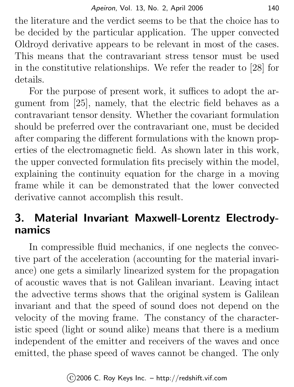the literature and the verdict seems to be that the choice has to be decided by the particular application. The upper convected Oldroyd derivative appears to be relevant in most of the cases. This means that the contravariant stress tensor must be used in the constitutive relationships. We refer the reader to [28] for details.

For the purpose of present work, it suffices to adopt the argument from [25], namely, that the electric field behaves as a contravariant tensor density. Whether the covariant formulation should be preferred over the contravariant one, must be decided after comparing the different formulations with the known properties of the electromagnetic field. As shown later in this work, the upper convected formulation fits precisely within the model, explaining the continuity equation for the charge in a moving frame while it can be demonstrated that the lower convected derivative cannot accomplish this result.

# 3. Material Invariant Maxwell-Lorentz Electrodynamics

In compressible fluid mechanics, if one neglects the convective part of the acceleration (accounting for the material invariance) one gets a similarly linearized system for the propagation of acoustic waves that is not Galilean invariant. Leaving intact the advective terms shows that the original system is Galilean invariant and that the speed of sound does not depend on the velocity of the moving frame. The constancy of the characteristic speed (light or sound alike) means that there is a medium independent of the emitter and receivers of the waves and once emitted, the phase speed of waves cannot be changed. The only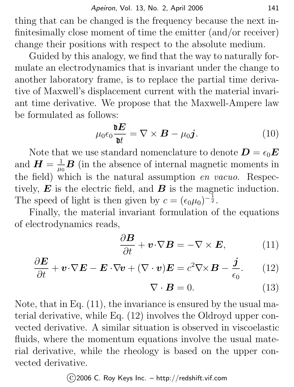thing that can be changed is the frequency because the next infinitesimally close moment of time the emitter (and/or receiver) change their positions with respect to the absolute medium.

Guided by this analogy, we find that the way to naturally formulate an electrodynamics that is invariant under the change to another laboratory frame, is to replace the partial time derivative of Maxwell's displacement current with the material invariant time derivative. We propose that the Maxwell-Ampere law be formulated as follows:

$$
\mu_0 \epsilon_0 \frac{\partial E}{\partial t} = \nabla \times \boldsymbol{B} - \mu_0 \boldsymbol{j}.
$$
 (10)

Note that we use standard nomenclature to denote  $\boldsymbol{D} = \epsilon_0 \boldsymbol{E}$ and  $\boldsymbol{H} = \frac{1}{\mu}$  $\frac{1}{\mu_0}$ **B** (in the absence of internal magnetic moments in the field) which is the natural assumption en vacuo. Respectively,  $\boldsymbol{E}$  is the electric field, and  $\boldsymbol{B}$  is the magnetic induction. The speed of light is then given by  $c = (\epsilon_0 \mu_0)^{-\frac{1}{2}}$ .

Finally, the material invariant formulation of the equations of electrodynamics reads,

$$
\frac{\partial \boldsymbol{B}}{\partial t} + \boldsymbol{v} \cdot \nabla \boldsymbol{B} = -\nabla \times \boldsymbol{E}, \qquad (11)
$$

$$
\frac{\partial \boldsymbol{E}}{\partial t} + \boldsymbol{v} \cdot \nabla \boldsymbol{E} - \boldsymbol{E} \cdot \nabla \boldsymbol{v} + (\nabla \cdot \boldsymbol{v}) \boldsymbol{E} = c^2 \nabla \times \boldsymbol{B} - \frac{\boldsymbol{j}}{\epsilon_0}.
$$
 (12)

$$
\nabla \cdot \boldsymbol{B} = 0. \tag{13}
$$

Note, that in Eq. (11), the invariance is ensured by the usual material derivative, while Eq. (12) involves the Oldroyd upper convected derivative. A similar situation is observed in viscoelastic fluids, where the momentum equations involve the usual material derivative, while the rheology is based on the upper convected derivative.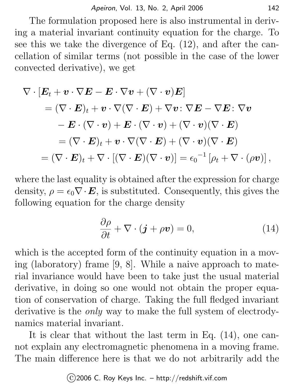The formulation proposed here is also instrumental in deriving a material invariant continuity equation for the charge. To see this we take the divergence of Eq. (12), and after the cancellation of similar terms (not possible in the case of the lower convected derivative), we get

$$
\nabla \cdot \left[ \boldsymbol{E}_t + \boldsymbol{v} \cdot \nabla \boldsymbol{E} - \boldsymbol{E} \cdot \nabla \boldsymbol{v} + (\nabla \cdot \boldsymbol{v}) \boldsymbol{E} \right]
$$
  
\n
$$
= (\nabla \cdot \boldsymbol{E})_t + \boldsymbol{v} \cdot \nabla (\nabla \cdot \boldsymbol{E}) + \nabla \boldsymbol{v} \cdot \nabla \boldsymbol{E} - \nabla \boldsymbol{E} \cdot \nabla \boldsymbol{v}
$$
  
\n
$$
- \boldsymbol{E} \cdot (\nabla \cdot \boldsymbol{v}) + \boldsymbol{E} \cdot (\nabla \cdot \boldsymbol{v}) + (\nabla \cdot \boldsymbol{v}) (\nabla \cdot \boldsymbol{E})
$$
  
\n
$$
= (\nabla \cdot \boldsymbol{E})_t + \boldsymbol{v} \cdot \nabla (\nabla \cdot \boldsymbol{E}) + (\nabla \cdot \boldsymbol{v}) (\nabla \cdot \boldsymbol{E})
$$
  
\n
$$
= (\nabla \cdot \boldsymbol{E})_t + \nabla \cdot [(\nabla \cdot \boldsymbol{E}) (\nabla \cdot \boldsymbol{v})] = \epsilon_0^{-1} [\rho_t + \nabla \cdot (\rho \boldsymbol{v})],
$$

where the last equality is obtained after the expression for charge density,  $\rho = \epsilon_0 \nabla \cdot \mathbf{E}$ , is substituted. Consequently, this gives the following equation for the charge density

$$
\frac{\partial \rho}{\partial t} + \nabla \cdot (\mathbf{j} + \rho \mathbf{v}) = 0, \tag{14}
$$

which is the accepted form of the continuity equation in a moving (laboratory) frame [9, 8]. While a naive approach to material invariance would have been to take just the usual material derivative, in doing so one would not obtain the proper equation of conservation of charge. Taking the full fledged invariant derivative is the *only* way to make the full system of electrodynamics material invariant.

It is clear that without the last term in Eq. (14), one cannot explain any electromagnetic phenomena in a moving frame. The main difference here is that we do not arbitrarily add the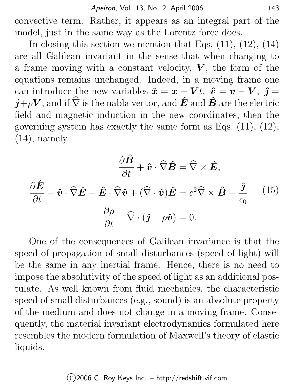convective term. Rather, it appears as an integral part of the model, just in the same way as the Lorentz force does.

In closing this section we mention that Eqs.  $(11)$ ,  $(12)$ ,  $(14)$ are all Galilean invariant in the sense that when changing to a frame moving with a constant velocity,  $V$ , the form of the equations remains unchanged. Indeed, in a moving frame one can introduce the new variables  $\hat{x} = x - Vt$ ,  $\hat{v} = v - V$ ,  $\hat{j} = v$  $\hat{\boldsymbol{j}}+\rho\boldsymbol{V}$ , and if  $\widehat{\nabla}$  is the nabla vector, and  $\hat{\boldsymbol{E}}$  and  $\hat{\boldsymbol{B}}$  are the electric field and magnetic induction in the new coordinates, then the governing system has exactly the same form as Eqs. (11), (12),  $(14)$ , namely

$$
\frac{\partial \hat{B}}{\partial t} + \hat{v} \cdot \hat{\nabla} \hat{B} = \hat{\nabla} \times \hat{E},
$$

$$
\frac{\partial \hat{E}}{\partial t} + \hat{v} \cdot \hat{\nabla} \hat{E} - \hat{E} \cdot \hat{\nabla} \hat{v} + (\hat{\nabla} \cdot \hat{v}) \hat{E} = c^2 \hat{\nabla} \times \hat{B} - \frac{\hat{j}}{\epsilon_0} \qquad (15)
$$

$$
\frac{\partial \rho}{\partial t} + \hat{\nabla} \cdot (\hat{j} + \rho \hat{v}) = 0.
$$

One of the consequences of Galilean invariance is that the speed of propagation of small disturbances (speed of light) will be the same in any inertial frame. Hence, there is no need to impose the absolutivity of the speed of light as an additional postulate. As well known from fluid mechanics, the characteristic speed of small disturbances (e.g., sound) is an absolute property of the medium and does not change in a moving frame. Consequently, the material invariant electrodynamics formulated here resembles the modern formulation of Maxwell's theory of elastic liquids.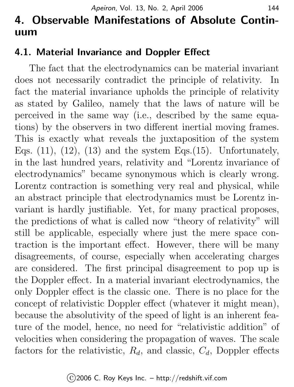# 4. Observable Manifestations of Absolute Continuum

### 4.1. Material Invariance and Doppler Effect

The fact that the electrodynamics can be material invariant does not necessarily contradict the principle of relativity. In fact the material invariance upholds the principle of relativity as stated by Galileo, namely that the laws of nature will be perceived in the same way (i.e., described by the same equations) by the observers in two different inertial moving frames. This is exactly what reveals the juxtaposition of the system Eqs.  $(11)$ ,  $(12)$ ,  $(13)$  and the system Eqs.  $(15)$ . Unfortunately, in the last hundred years, relativity and "Lorentz invariance of electrodynamics" became synonymous which is clearly wrong. Lorentz contraction is something very real and physical, while an abstract principle that electrodynamics must be Lorentz invariant is hardly justifiable. Yet, for many practical proposes, the predictions of what is called now "theory of relativity" will still be applicable, especially where just the mere space contraction is the important effect. However, there will be many disagreements, of course, especially when accelerating charges are considered. The first principal disagreement to pop up is the Doppler effect. In a material invariant electrodynamics, the only Doppler effect is the classic one. There is no place for the concept of relativistic Doppler effect (whatever it might mean), because the absolutivity of the speed of light is an inherent feature of the model, hence, no need for "relativistic addition" of velocities when considering the propagation of waves. The scale factors for the relativistic,  $R_d$ , and classic,  $C_d$ , Doppler effects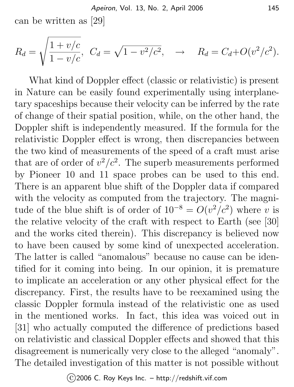can be written as [29]

$$
R_d = \sqrt{\frac{1 + v/c}{1 - v/c}}, \ \ C_d = \sqrt{1 - v^2/c^2}, \ \ \rightarrow \ \ R_d = C_d + O(v^2/c^2).
$$

What kind of Doppler effect (classic or relativistic) is present in Nature can be easily found experimentally using interplanetary spaceships because their velocity can be inferred by the rate of change of their spatial position, while, on the other hand, the Doppler shift is independently measured. If the formula for the relativistic Doppler effect is wrong, then discrepancies between the two kind of measurements of the speed of a craft must arise that are of order of  $v^2/c^2$ . The superb measurements performed by Pioneer 10 and 11 space probes can be used to this end. There is an apparent blue shift of the Doppler data if compared with the velocity as computed from the trajectory. The magnitude of the blue shift is of order of  $10^{-8} = O(v^2/c^2)$  where v is the relative velocity of the craft with respect to Earth (see [30] and the works cited therein). This discrepancy is believed now to have been caused by some kind of unexpected acceleration. The latter is called "anomalous" because no cause can be identified for it coming into being. In our opinion, it is premature to implicate an acceleration or any other physical effect for the discrepancy. First, the results have to be reexamined using the classic Doppler formula instead of the relativistic one as used in the mentioned works. In fact, this idea was voiced out in [31] who actually computed the difference of predictions based on relativistic and classical Doppler effects and showed that this disagreement is numerically very close to the alleged "anomaly". The detailed investigation of this matter is not possible without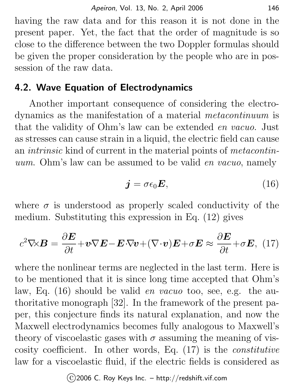having the raw data and for this reason it is not done in the present paper. Yet, the fact that the order of magnitude is so close to the difference between the two Doppler formulas should be given the proper consideration by the people who are in possession of the raw data.

### 4.2. Wave Equation of Electrodynamics

Another important consequence of considering the electrodynamics as the manifestation of a material metacontinuum is that the validity of Ohm's law can be extended en vacuo. Just as stresses can cause strain in a liquid, the electric field can cause an intrinsic kind of current in the material points of metacontinuum. Ohm's law can be assumed to be valid en vacuo, namely

$$
\mathbf{j} = \sigma \epsilon_0 \mathbf{E},\tag{16}
$$

where  $\sigma$  is understood as properly scaled conductivity of the medium. Substituting this expression in Eq. (12) gives

$$
c^2 \nabla \times \mathbf{B} = \frac{\partial \mathbf{E}}{\partial t} + \mathbf{v} \nabla \mathbf{E} - \mathbf{E} \cdot \nabla \mathbf{v} + (\nabla \cdot \mathbf{v}) \mathbf{E} + \sigma \mathbf{E} \approx \frac{\partial \mathbf{E}}{\partial t} + \sigma \mathbf{E}, \tag{17}
$$

where the nonlinear terms are neglected in the last term. Here is to be mentioned that it is since long time accepted that Ohm's law, Eq. (16) should be valid *en vacuo* too, see, e.g. the authoritative monograph [32]. In the framework of the present paper, this conjecture finds its natural explanation, and now the Maxwell electrodynamics becomes fully analogous to Maxwell's theory of viscoelastic gases with  $\sigma$  assuming the meaning of viscosity coefficient. In other words, Eq. (17) is the constitutive law for a viscoelastic fluid, if the electric fields is considered as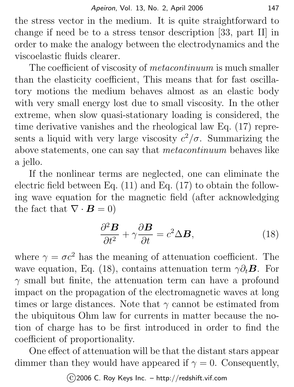the stress vector in the medium. It is quite straightforward to change if need be to a stress tensor description [33, part II] in order to make the analogy between the electrodynamics and the viscoelastic fluids clearer.

The coefficient of viscosity of *metacontinuum* is much smaller than the elasticity coefficient, This means that for fast oscillatory motions the medium behaves almost as an elastic body with very small energy lost due to small viscosity. In the other extreme, when slow quasi-stationary loading is considered, the time derivative vanishes and the rheological law Eq. (17) represents a liquid with very large viscosity  $c^2/\sigma$ . Summarizing the above statements, one can say that metacontinuum behaves like a jello.

If the nonlinear terms are neglected, one can eliminate the electric field between Eq. (11) and Eq. (17) to obtain the following wave equation for the magnetic field (after acknowledging the fact that  $\nabla \cdot \mathbf{B} = 0$ 

$$
\frac{\partial^2 \mathbf{B}}{\partial t^2} + \gamma \frac{\partial \mathbf{B}}{\partial t} = c^2 \Delta \mathbf{B},\tag{18}
$$

where  $\gamma = \sigma c^2$  has the meaning of attenuation coefficient. The wave equation, Eq. (18), contains attenuation term  $\gamma \partial_t \mathbf{B}$ . For  $\gamma$  small but finite, the attenuation term can have a profound impact on the propagation of the electromagnetic waves at long times or large distances. Note that  $\gamma$  cannot be estimated from the ubiquitous Ohm law for currents in matter because the notion of charge has to be first introduced in order to find the coefficient of proportionality.

One effect of attenuation will be that the distant stars appear dimmer than they would have appeared if  $\gamma = 0$ . Consequently,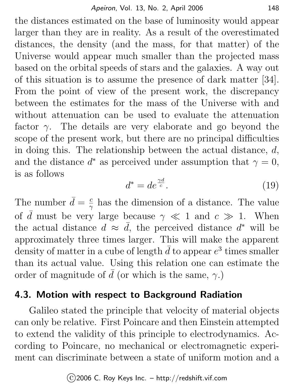the distances estimated on the base of luminosity would appear larger than they are in reality. As a result of the overestimated distances, the density (and the mass, for that matter) of the Universe would appear much smaller than the projected mass based on the orbital speeds of stars and the galaxies. A way out of this situation is to assume the presence of dark matter [34]. From the point of view of the present work, the discrepancy between the estimates for the mass of the Universe with and without attenuation can be used to evaluate the attenuation factor  $\gamma$ . The details are very elaborate and go beyond the scope of the present work, but there are no principal difficulties in doing this. The relationship between the actual distance, d, and the distance  $d^*$  as perceived under assumption that  $\gamma = 0$ , is as follows

$$
d^* = de^{\frac{\gamma d}{c}}.\tag{19}
$$

The number  $\bar{d} = \frac{c}{\gamma}$  $\frac{c}{\gamma}$  has the dimension of a distance. The value of  $\overline{d}$  must be very large because  $\gamma \ll 1$  and  $c \gg 1$ . When the actual distance  $d \approx \bar{d}$ , the perceived distance  $d^*$  will be approximately three times larger. This will make the apparent density of matter in a cube of length  $\bar{d}$  to appear  $e^3$  times smaller than its actual value. Using this relation one can estimate the order of magnitude of  $\bar{d}$  (or which is the same,  $\gamma$ .)

#### 4.3. Motion with respect to Background Radiation

Galileo stated the principle that velocity of material objects can only be relative. First Poincare and then Einstein attempted to extend the validity of this principle to electrodynamics. According to Poincare, no mechanical or electromagnetic experiment can discriminate between a state of uniform motion and a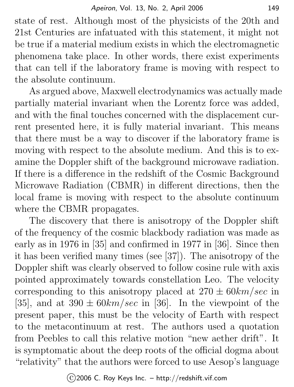state of rest. Although most of the physicists of the 20th and 21st Centuries are infatuated with this statement, it might not be true if a material medium exists in which the electromagnetic phenomena take place. In other words, there exist experiments that can tell if the laboratory frame is moving with respect to the absolute continuum.

As argued above, Maxwell electrodynamics was actually made partially material invariant when the Lorentz force was added, and with the final touches concerned with the displacement current presented here, it is fully material invariant. This means that there must be a way to discover if the laboratory frame is moving with respect to the absolute medium. And this is to examine the Doppler shift of the background microwave radiation. If there is a difference in the redshift of the Cosmic Background Microwave Radiation (CBMR) in different directions, then the local frame is moving with respect to the absolute continuum where the CBMR propagates.

The discovery that there is anisotropy of the Doppler shift of the frequency of the cosmic blackbody radiation was made as early as in 1976 in [35] and confirmed in 1977 in [36]. Since then it has been verified many times (see [37]). The anisotropy of the Doppler shift was clearly observed to follow cosine rule with axis pointed approximately towards constellation Leo. The velocity corresponding to this anisotropy placed at  $270 \pm 60 km/sec$  in [35], and at  $390 \pm 60 km/sec$  in [36]. In the viewpoint of the present paper, this must be the velocity of Earth with respect to the metacontinuum at rest. The authors used a quotation from Peebles to call this relative motion "new aether drift". It is symptomatic about the deep roots of the official dogma about "relativity" that the authors were forced to use Aesop's language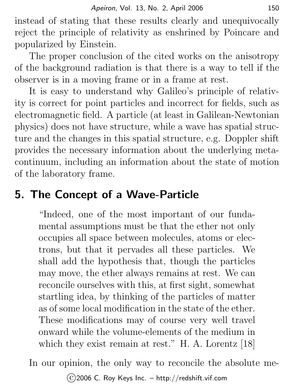instead of stating that these results clearly and unequivocally reject the principle of relativity as enshrined by Poincare and popularized by Einstein.

The proper conclusion of the cited works on the anisotropy of the background radiation is that there is a way to tell if the observer is in a moving frame or in a frame at rest.

It is easy to understand why Galileo's principle of relativity is correct for point particles and incorrect for fields, such as electromagnetic field. A particle (at least in Galilean-Newtonian physics) does not have structure, while a wave has spatial structure and the changes in this spatial structure, e.g. Doppler shift provides the necessary information about the underlying metacontinuum, including an information about the state of motion of the laboratory frame.

## 5. The Concept of a Wave-Particle

"Indeed, one of the most important of our fundamental assumptions must be that the ether not only occupies all space between molecules, atoms or electrons, but that it pervades all these particles. We shall add the hypothesis that, though the particles may move, the ether always remains at rest. We can reconcile ourselves with this, at first sight, somewhat startling idea, by thinking of the particles of matter as of some local modification in the state of the ether. These modifications may of course very well travel onward while the volume-elements of the medium in which they exist remain at rest." H. A. Lorentz [18]

In our opinion, the only way to reconcile the absolute me-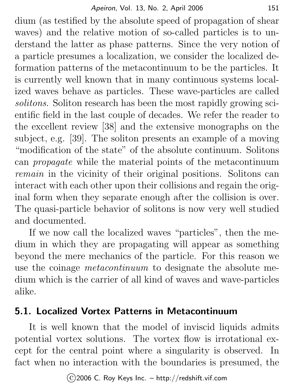dium (as testified by the absolute speed of propagation of shear waves) and the relative motion of so-called particles is to understand the latter as phase patterns. Since the very notion of a particle presumes a localization, we consider the localized deformation patterns of the metacontinuum to be the particles. It is currently well known that in many continuous systems localized waves behave as particles. These wave-particles are called solitons. Soliton research has been the most rapidly growing scientific field in the last couple of decades. We refer the reader to the excellent review [38] and the extensive monographs on the subject, e.g. [39]. The soliton presents an example of a moving "modification of the state" of the absolute continuum. Solitons can propagate while the material points of the metacontinuum remain in the vicinity of their original positions. Solitons can interact with each other upon their collisions and regain the original form when they separate enough after the collision is over. The quasi-particle behavior of solitons is now very well studied and documented.

If we now call the localized waves "particles", then the medium in which they are propagating will appear as something beyond the mere mechanics of the particle. For this reason we use the coinage metacontinuum to designate the absolute medium which is the carrier of all kind of waves and wave-particles alike.

#### 5.1. Localized Vortex Patterns in Metacontinuum

It is well known that the model of inviscid liquids admits potential vortex solutions. The vortex flow is irrotational except for the central point where a singularity is observed. In fact when no interaction with the boundaries is presumed, the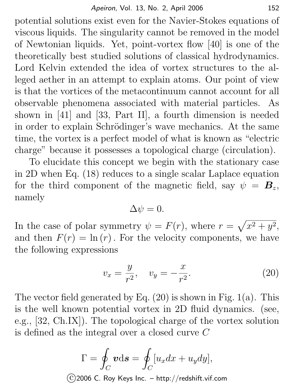potential solutions exist even for the Navier-Stokes equations of viscous liquids. The singularity cannot be removed in the model of Newtonian liquids. Yet, point-vortex flow [40] is one of the theoretically best studied solutions of classical hydrodynamics. Lord Kelvin extended the idea of vortex structures to the alleged aether in an attempt to explain atoms. Our point of view is that the vortices of the metacontinuum cannot account for all observable phenomena associated with material particles. As shown in [41] and [33, Part II], a fourth dimension is needed in order to explain Schrödinger's wave mechanics. At the same time, the vortex is a perfect model of what is known as "electric charge" because it possesses a topological charge (circulation).

To elucidate this concept we begin with the stationary case in 2D when Eq. (18) reduces to a single scalar Laplace equation for the third component of the magnetic field, say  $\psi = \mathbf{B}_z$ , namely

$$
\Delta \psi = 0.
$$

In the case of polar symmetry  $\psi = F(r)$ , where  $r = \sqrt{x^2 + y^2}$ , and then  $F(r) = \ln(r)$ . For the velocity components, we have the following expressions

$$
v_x = \frac{y}{r^2}, \quad v_y = -\frac{x}{r^2}.
$$
 (20)

The vector field generated by Eq.  $(20)$  is shown in Fig.  $1(a)$ . This is the well known potential vortex in 2D fluid dynamics. (see, e.g., [32, Ch.IX]). The topological charge of the vortex solution is defined as the integral over a closed curve C

$$
\Gamma = \oint_C \mathbf{v} \mathrm{d}\mathbf{s} = \oint_C [u_x dx + u_y dy],
$$
  
(c) 2006 C. Roy Keys Inc. – http://redshift.vif.com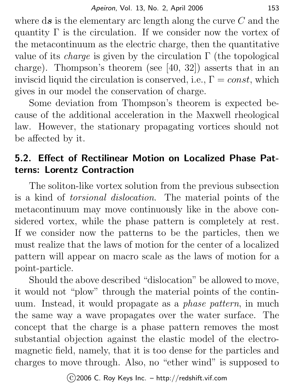where  $ds$  is the elementary arc length along the curve  $C$  and the quantity  $\Gamma$  is the circulation. If we consider now the vortex of the metacontinuum as the electric charge, then the quantitative value of its *charge* is given by the circulation  $\Gamma$  (the topological charge). Thompson's theorem (see [40, 32]) asserts that in an inviscid liquid the circulation is conserved, i.e.,  $\Gamma = const$ , which gives in our model the conservation of charge.

Some deviation from Thompson's theorem is expected because of the additional acceleration in the Maxwell rheological law. However, the stationary propagating vortices should not be affected by it.

### 5.2. Effect of Rectilinear Motion on Localized Phase Patterns: Lorentz Contraction

The soliton-like vortex solution from the previous subsection is a kind of torsional dislocation. The material points of the metacontinuum may move continuously like in the above considered vortex, while the phase pattern is completely at rest. If we consider now the patterns to be the particles, then we must realize that the laws of motion for the center of a localized pattern will appear on macro scale as the laws of motion for a point-particle.

Should the above described "dislocation" be allowed to move, it would not "plow" through the material points of the continuum. Instead, it would propagate as a phase pattern, in much the same way a wave propagates over the water surface. The concept that the charge is a phase pattern removes the most substantial objection against the elastic model of the electromagnetic field, namely, that it is too dense for the particles and charges to move through. Also, no "ether wind" is supposed to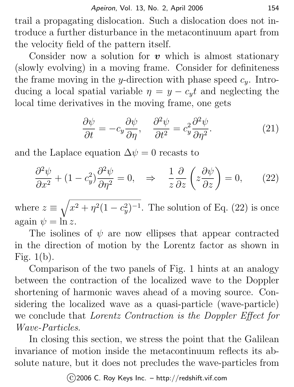trail a propagating dislocation. Such a dislocation does not introduce a further disturbance in the metacontinuum apart from the velocity field of the pattern itself.

Consider now a solution for  $v$  which is almost stationary (slowly evolving) in a moving frame. Consider for definiteness the frame moving in the y-direction with phase speed  $c_y$ . Introducing a local spatial variable  $\eta = y - c_y t$  and neglecting the local time derivatives in the moving frame, one gets

$$
\frac{\partial \psi}{\partial t} = -c_y \frac{\partial \psi}{\partial \eta}, \quad \frac{\partial^2 \psi}{\partial t^2} = c_y^2 \frac{\partial^2 \psi}{\partial \eta^2}.
$$
 (21)

and the Laplace equation  $\Delta \psi = 0$  recasts to

$$
\frac{\partial^2 \psi}{\partial x^2} + (1 - c_y^2) \frac{\partial^2 \psi}{\partial \eta^2} = 0, \quad \Rightarrow \quad \frac{1}{z} \frac{\partial}{\partial z} \left( z \frac{\partial \psi}{\partial z} \right) = 0, \tag{22}
$$

where  $z \equiv \sqrt{x^2 + \eta^2 (1 - c_y^2)^{-1}}$ . The solution of Eq. (22) is once again  $\psi = \ln z$ .

The isolines of  $\psi$  are now ellipses that appear contracted in the direction of motion by the Lorentz factor as shown in Fig.  $1(b)$ .

Comparison of the two panels of Fig. 1 hints at an analogy between the contraction of the localized wave to the Doppler shortening of harmonic waves ahead of a moving source. Considering the localized wave as a quasi-particle (wave-particle) we conclude that Lorentz Contraction is the Doppler Effect for Wave-Particles.

In closing this section, we stress the point that the Galilean invariance of motion inside the metacontinuum reflects its absolute nature, but it does not precludes the wave-particles from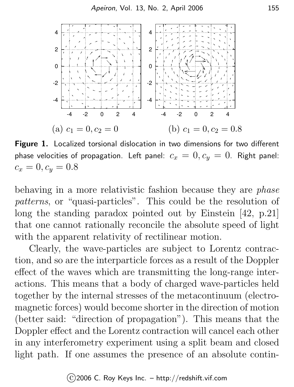

Figure 1. Localized torsional dislocation in two dimensions for two different phase velocities of propagation. Left panel:  $c_x = 0, c_y = 0$ . Right panel:  $c_x = 0, c_y = 0.8$ 

behaving in a more relativistic fashion because they are *phase* patterns, or "quasi-particles". This could be the resolution of long the standing paradox pointed out by Einstein [42, p.21] that one cannot rationally reconcile the absolute speed of light with the apparent relativity of rectilinear motion.

Clearly, the wave-particles are subject to Lorentz contraction, and so are the interparticle forces as a result of the Doppler effect of the waves which are transmitting the long-range interactions. This means that a body of charged wave-particles held together by the internal stresses of the metacontinuum (electromagnetic forces) would become shorter in the direction of motion (better said: "direction of propagation"). This means that the Doppler effect and the Lorentz contraction will cancel each other in any interferometry experiment using a split beam and closed light path. If one assumes the presence of an absolute contin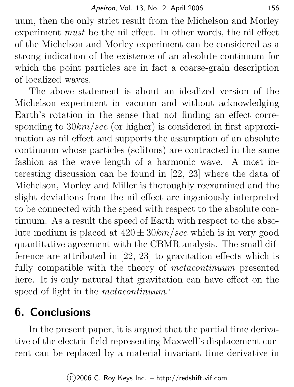uum, then the only strict result from the Michelson and Morley experiment must be the nil effect. In other words, the nil effect of the Michelson and Morley experiment can be considered as a strong indication of the existence of an absolute continuum for which the point particles are in fact a coarse-grain description of localized waves.

The above statement is about an idealized version of the Michelson experiment in vacuum and without acknowledging Earth's rotation in the sense that not finding an effect corresponding to  $30km/sec$  (or higher) is considered in first approximation as nil effect and supports the assumption of an absolute continuum whose particles (solitons) are contracted in the same fashion as the wave length of a harmonic wave. A most interesting discussion can be found in [22, 23] where the data of Michelson, Morley and Miller is thoroughly reexamined and the slight deviations from the nil effect are ingeniously interpreted to be connected with the speed with respect to the absolute continuum. As a result the speed of Earth with respect to the absolute medium is placed at  $420 \pm 30 km/sec$  which is in very good quantitative agreement with the CBMR analysis. The small difference are attributed in [22, 23] to gravitation effects which is fully compatible with the theory of *metacontinuum* presented here. It is only natural that gravitation can have effect on the speed of light in the *metacontinuum*.

# 6. Conclusions

In the present paper, it is argued that the partial time derivative of the electric field representing Maxwell's displacement current can be replaced by a material invariant time derivative in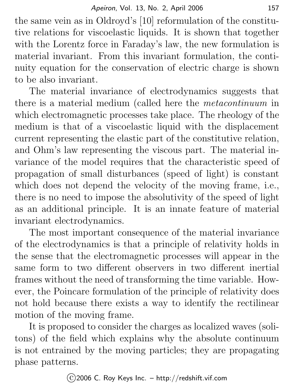the same vein as in Oldroyd's [10] reformulation of the constitutive relations for viscoelastic liquids. It is shown that together with the Lorentz force in Faraday's law, the new formulation is material invariant. From this invariant formulation, the continuity equation for the conservation of electric charge is shown to be also invariant.

The material invariance of electrodynamics suggests that there is a material medium (called here the metacontinuum in which electromagnetic processes take place. The rheology of the medium is that of a viscoelastic liquid with the displacement current representing the elastic part of the constitutive relation, and Ohm's law representing the viscous part. The material invariance of the model requires that the characteristic speed of propagation of small disturbances (speed of light) is constant which does not depend the velocity of the moving frame, i.e., there is no need to impose the absolutivity of the speed of light as an additional principle. It is an innate feature of material invariant electrodynamics.

The most important consequence of the material invariance of the electrodynamics is that a principle of relativity holds in the sense that the electromagnetic processes will appear in the same form to two different observers in two different inertial frames without the need of transforming the time variable. However, the Poincare formulation of the principle of relativity does not hold because there exists a way to identify the rectilinear motion of the moving frame.

It is proposed to consider the charges as localized waves (solitons) of the field which explains why the absolute continuum is not entrained by the moving particles; they are propagating phase patterns.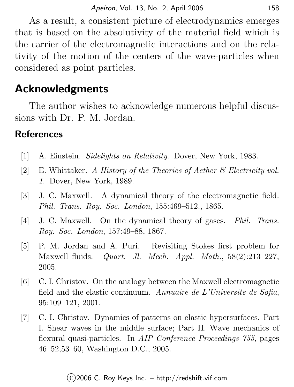As a result, a consistent picture of electrodynamics emerges that is based on the absolutivity of the material field which is the carrier of the electromagnetic interactions and on the relativity of the motion of the centers of the wave-particles when considered as point particles.

## Acknowledgments

The author wishes to acknowledge numerous helpful discussions with Dr. P. M. Jordan.

#### **References**

- [1] A. Einstein. Sidelights on Relativity. Dover, New York, 1983.
- [2] E. Whittaker. A History of the Theories of Aether & Electricity vol. 1. Dover, New York, 1989.
- [3] J. C. Maxwell. A dynamical theory of the electromagnetic field. Phil. Trans. Roy. Soc. London, 155:469–512., 1865.
- [4] J. C. Maxwell. On the dynamical theory of gases. *Phil. Trans.* Roy. Soc. London, 157:49–88, 1867.
- [5] P. M. Jordan and A. Puri. Revisiting Stokes first problem for Maxwell fluids. *Quart. Jl. Mech. Appl. Math.*,  $58(2):213-227$ . 2005.
- [6] C. I. Christov. On the analogy between the Maxwell electromagnetic field and the elastic continuum. Annuaire de L'Universite de Sofia, 95:109–121, 2001.
- [7] C. I. Christov. Dynamics of patterns on elastic hypersurfaces. Part I. Shear waves in the middle surface; Part II. Wave mechanics of flexural quasi-particles. In AIP Conference Proceedings 755, pages 46–52,53–60, Washington D.C., 2005.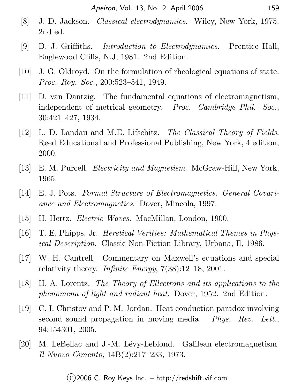- [8] J. D. Jackson. Classical electrodynamics. Wiley, New York, 1975. 2nd ed.
- [9] D. J. Griffiths. Introduction to Electrodynamics. Prentice Hall, Englewood Cliffs, N.J, 1981. 2nd Edition.
- [10] J. G. Oldroyd. On the formulation of rheological equations of state. Proc. Roy. Soc., 200:523–541, 1949.
- [11] D. van Dantzig. The fundamental equations of electromagnetism, independent of metrical geometry. Proc. Cambridge Phil. Soc., 30:421–427, 1934.
- [12] L. D. Landau and M.E. Lifschitz. The Classical Theory of Fields. Reed Educational and Professional Publishing, New York, 4 edition, 2000.
- [13] E. M. Purcell. Electricity and Magnetism. McGraw-Hill, New York, 1965.
- [14] E. J. Pots. Formal Structure of Electromagnetics. General Covariance and Electromagnetics. Dover, Mineola, 1997.
- [15] H. Hertz. Electric Waves. MacMillan, London, 1900.
- [16] T. E. Phipps, Jr. Heretical Verities: Mathematical Themes in Physical Description. Classic Non-Fiction Library, Urbana, Il, 1986.
- [17] W. H. Cantrell. Commentary on Maxwell's equations and special relativity theory. Infinite Energy, 7(38):12–18, 2001.
- [18] H. A. Lorentz. The Theory of Ellectrons and its applications to the phenomena of light and radiant heat. Dover, 1952. 2nd Edition.
- [19] C. I. Christov and P. M. Jordan. Heat conduction paradox involving second sound propagation in moving media. Phys. Rev. Lett., 94:154301, 2005.
- [20] M. LeBellac and J.-M. Lévy-Leblond. Galilean electromagnetism. Il Nuovo Cimento, 14B(2):217–233, 1973.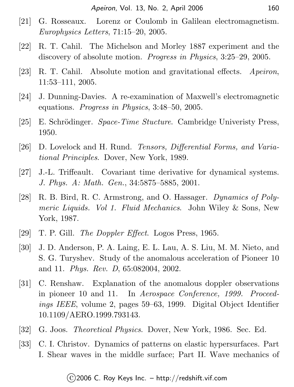- [21] G. Rosseaux. Lorenz or Coulomb in Galilean electromagnetism. Europhysics Letters, 71:15–20, 2005.
- [22] R. T. Cahil. The Michelson and Morley 1887 experiment and the discovery of absolute motion. Progress in Physics, 3:25–29, 2005.
- [23] R. T. Cahil. Absolute motion and gravitational effects. Apeiron, 11:53–111, 2005.
- [24] J. Dunning-Davies. A re-examination of Maxwell's electromagnetic equations. Progress in Physics, 3:48–50, 2005.
- [25] E. Schrödinger. Space-Time Stucture. Cambridge Univeristy Press, 1950.
- [26] D. Lovelock and H. Rund. Tensors, Differential Forms, and Variational Principles. Dover, New York, 1989.
- [27] J.-L. Triffeault. Covariant time derivative for dynamical systems. J. Phys. A: Math. Gen., 34:5875–5885, 2001.
- [28] R. B. Bird, R. C. Armstrong, and O. Hassager. Dynamics of Polymeric Liquids. Vol 1. Fluid Mechanics. John Wiley & Sons, New York, 1987.
- [29] T. P. Gill. *The Doppler Effect*. Logos Press, 1965.
- [30] J. D. Anderson, P. A. Laing, E. L. Lau, A. S. Liu, M. M. Nieto, and S. G. Turyshev. Study of the anomalous acceleration of Pioneer 10 and 11. Phys. Rev. D, 65:082004, 2002.
- [31] C. Renshaw. Explanation of the anomalous doppler observations in pioneer 10 and 11. In Aerospace Conference, 1999. Proceedings IEEE, volume 2, pages 59–63, 1999. Digital Object Identifier 10.1109/AERO.1999.793143.
- [32] G. Joos. *Theoretical Physics*. Dover, New York, 1986. Sec. Ed.
- [33] C. I. Christov. Dynamics of patterns on elastic hypersurfaces. Part I. Shear waves in the middle surface; Part II. Wave mechanics of